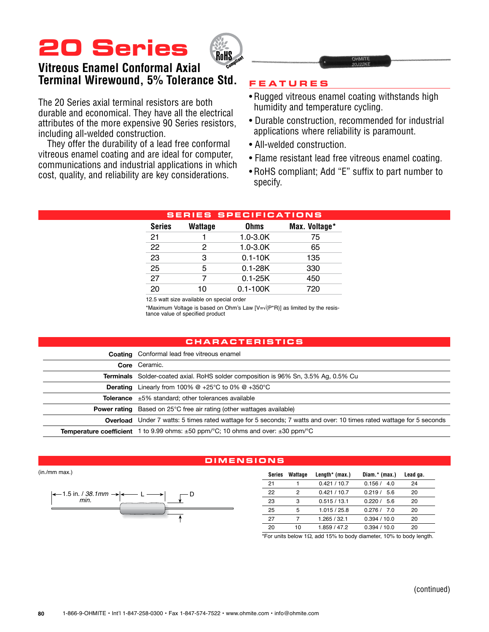# **20 Series**



## **Vitreous Enamel Conformal Axial Terminal Wirewound, 5% Tolerance Std.**

The 20 Series axial terminal resistors are both durable and economical. They have all the electrical attributes of the more expensive 90 Series resistors, including all-welded construction.

They offer the durability of a lead free conformal vitreous enamel coating and are ideal for computer, communications and industrial applications in which cost, quality, and reliability are key considerations.

### **Feature s**

- Rugged vitreous enamel coating withstands high humidity and temperature cycling.
- Durable construction, recommended for industrial applications where reliability is paramount.
- All-welded construction.
- Flame resistant lead free vitreous enamel coating.
- RoHS compliant; Add "E" suffix to part number to specify.

|               |                | <b>SERIES SPECIFICATIONS</b> |               |
|---------------|----------------|------------------------------|---------------|
| <b>Series</b> | <b>Wattage</b> | <b>Ohms</b>                  | Max. Voltage* |
| 21            |                | $1.0 - 3.0K$                 | 75            |
| 22            | 2              | $1.0 - 3.0K$                 | 65            |
| 23            | 3              | $0.1 - 10K$                  | 135           |
| 25            | 5              | $0.1 - 28K$                  | 330           |
| 27            | 7              | $0.1 - 25K$                  | 450           |
| 20            | 10             | $0.1 - 100K$                 | 720           |
|               |                |                              |               |

<sup>12.5</sup> watt size available on special order

\*Maximum Voltage is based on Ohm's Law [V=√(P\*R)] as limited by the resis- tance value of specified product

#### **Chara c teri s t i cs**

| <b>Coating</b> Conformal lead free vitreous enamel                                                                         |
|----------------------------------------------------------------------------------------------------------------------------|
| Core Ceramic.                                                                                                              |
| <b>Terminals</b> Solder-coated axial. RoHS solder composition is 96% Sn, 3.5% Ag, 0.5% Cu                                  |
| <b>Derating</b> Linearly from 100% $@+25^{\circ}C$ to 0% $@+350^{\circ}C$                                                  |
| <b>Tolerance</b> $\pm 5\%$ standard; other tolerances available                                                            |
| <b>Power rating</b> Based on 25°C free air rating (other wattages available)                                               |
| <b>Overload</b> Under 7 watts: 5 times rated wattage for 5 seconds; 7 watts and over: 10 times rated wattage for 5 seconds |
| <b>Temperature coefficient</b> 1 to 9.99 ohms: $\pm 50$ ppm/ $\degree$ C; 10 ohms and over: $\pm 30$ ppm/ $\degree$ C      |

#### **Dimen s ion s**

(in./mm max.)



| Series | Wattage | Length $*$ (max.) | Diam.* (max.) | Lead ga. |
|--------|---------|-------------------|---------------|----------|
| 21     |         | 0.421 / 10.7      | 0.156 / 4.0   | 24       |
| 22     | 2       | 0.421 / 10.7      | 0219/56       | 20       |
| 23     | з       | 0.515/13.1        | 0220/56       | 20       |
| 25     | 5       | 1.015 / 25.8      | 0.276 / 7.0   | 20       |
| 27     | 7       | 1.265 / 32.1      | 0.394/10.0    | 20       |
| 20     | 10      | 1.859 / 47.2      | 0.394/10.0    | 20       |

\*For units below 1Ω, add 15% to body diameter, 10% to body length.